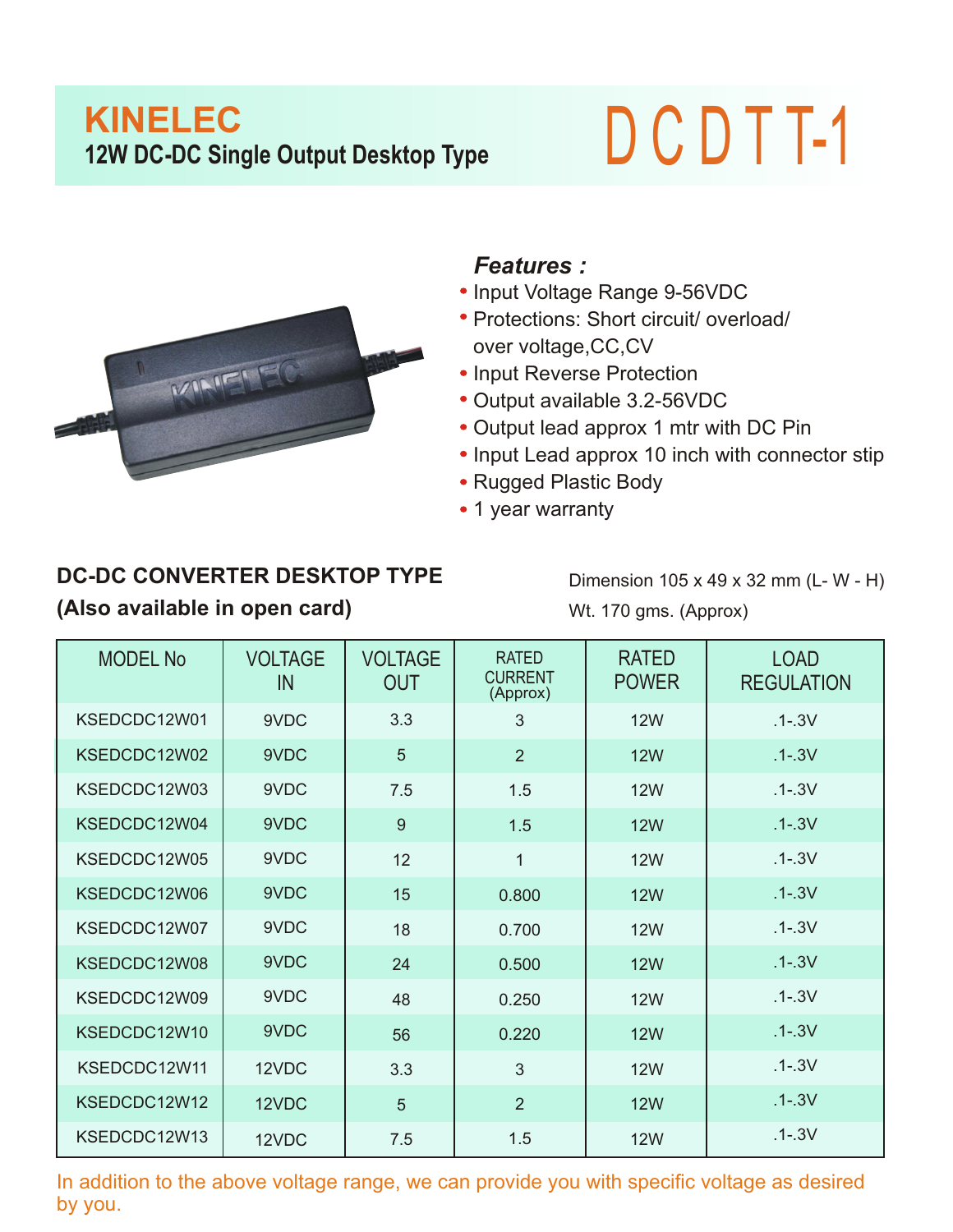## **KINELEC 12W DC-DC Single Output Desktop Type** D C D T T-1



## *Features :*

- Input Voltage Range 9-56VDC
- Protections: Short circuit/ overload/ over voltage,CC,CV
- Input Reverse Protection
- Output available 3.2-56VDC
- Output lead approx 1 mtr with DC Pin
- Input Lead approx 10 inch with connector stip
- Rugged Plastic Body
- 1 year warranty

## **DC-DC CONVERTER DESKTOP TYPE (Also available in open card)**

Dimension 105 x 49 x 32 mm (L- W - H) Wt. 170 gms. (Approx)

| <b>MODEL No</b> | <b>VOLTAGE</b><br>IN | <b>VOLTAGE</b><br><b>OUT</b> | <b>RATED</b><br><b>CURRENT</b><br>(Approx) | <b>RATED</b><br><b>POWER</b> | <b>LOAD</b><br><b>REGULATION</b> |
|-----------------|----------------------|------------------------------|--------------------------------------------|------------------------------|----------------------------------|
| KSEDCDC12W01    | 9VDC                 | 3.3                          | 3                                          | <b>12W</b>                   | $.1 - .3V$                       |
| KSEDCDC12W02    | 9VDC                 | 5                            | $\overline{2}$                             | <b>12W</b>                   | $.1 - .3V$                       |
| KSEDCDC12W03    | 9VDC                 | 7.5                          | 1.5                                        | <b>12W</b>                   | $.1 - .3V$                       |
| KSEDCDC12W04    | 9VDC                 | 9                            | 1.5                                        | <b>12W</b>                   | $.1 - .3V$                       |
| KSEDCDC12W05    | 9VDC                 | 12                           | $\mathbf{1}$                               | <b>12W</b>                   | $.1 - .3V$                       |
| KSEDCDC12W06    | 9VDC                 | 15                           | 0.800                                      | <b>12W</b>                   | $.1 - .3V$                       |
| KSEDCDC12W07    | 9VDC                 | 18                           | 0.700                                      | <b>12W</b>                   | $.1 - .3V$                       |
| KSEDCDC12W08    | 9VDC                 | 24                           | 0.500                                      | <b>12W</b>                   | $.1 - .3V$                       |
| KSEDCDC12W09    | 9VDC                 | 48                           | 0.250                                      | <b>12W</b>                   | $.1 - .3V$                       |
| KSEDCDC12W10    | 9VDC                 | 56                           | 0.220                                      | <b>12W</b>                   | $.1 - .3V$                       |
| KSEDCDC12W11    | 12VDC                | 3.3                          | 3                                          | <b>12W</b>                   | $.1 - .3V$                       |
| KSEDCDC12W12    | 12VDC                | 5                            | $\overline{2}$                             | <b>12W</b>                   | $.1 - .3V$                       |
| KSEDCDC12W13    | 12VDC                | 7.5                          | 1.5                                        | <b>12W</b>                   | $.1 - .3V$                       |

In addition to the above voltage range, we can provide you with specific voltage as desired by you.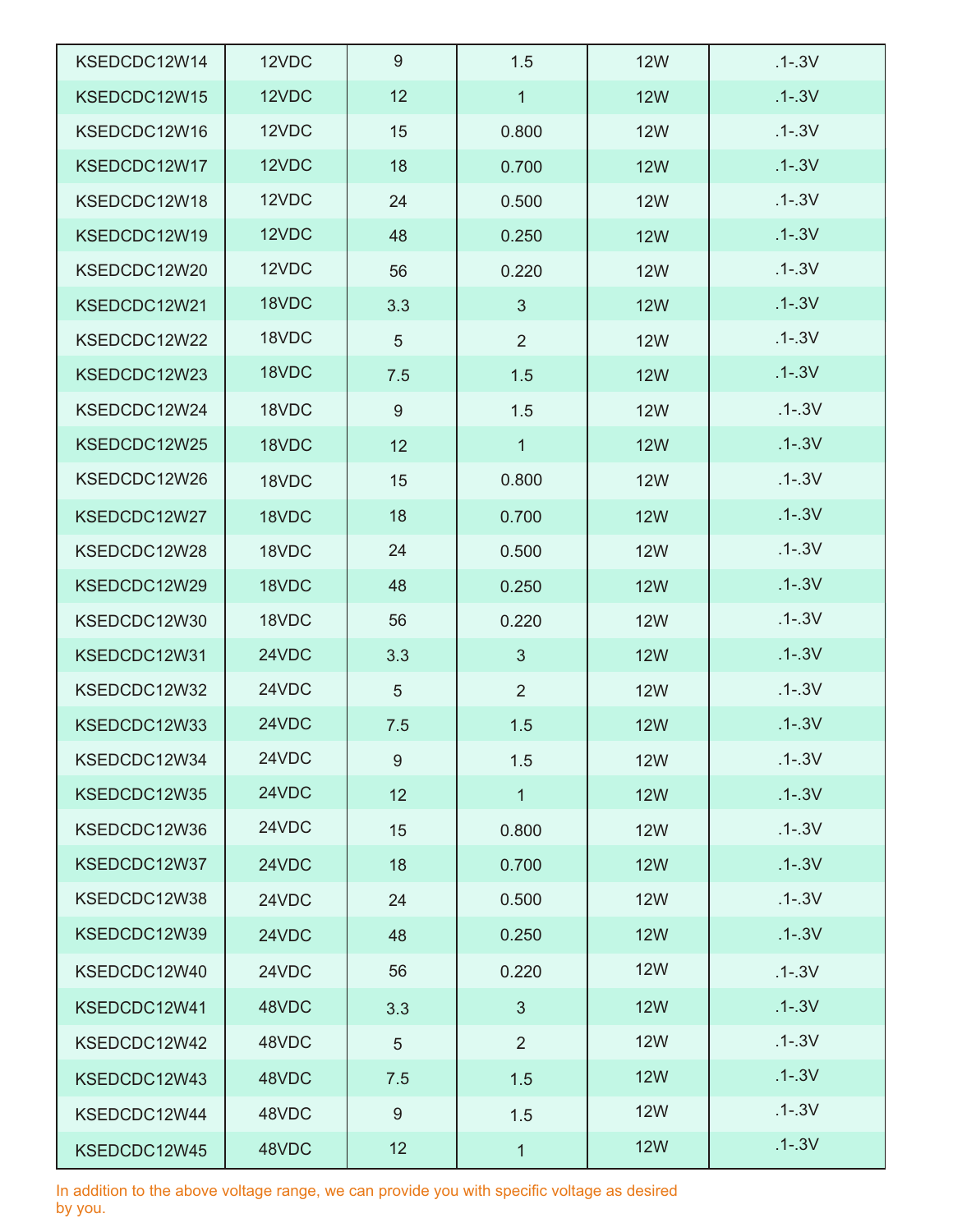| KSEDCDC12W14 | 12VDC | 9   | 1.5            | <b>12W</b> | $.1 - .3V$ |
|--------------|-------|-----|----------------|------------|------------|
| KSEDCDC12W15 | 12VDC | 12  | $\mathbf{1}$   | <b>12W</b> | $.1 - .3V$ |
| KSEDCDC12W16 | 12VDC | 15  | 0.800          | <b>12W</b> | $.1 - .3V$ |
| KSEDCDC12W17 | 12VDC | 18  | 0.700          | <b>12W</b> | $.1 - .3V$ |
| KSEDCDC12W18 | 12VDC | 24  | 0.500          | <b>12W</b> | $.1 - .3V$ |
| KSEDCDC12W19 | 12VDC | 48  | 0.250          | <b>12W</b> | $.1 - .3V$ |
| KSEDCDC12W20 | 12VDC | 56  | 0.220          | <b>12W</b> | $.1 - .3V$ |
| KSEDCDC12W21 | 18VDC | 3.3 | 3              | <b>12W</b> | $.1 - .3V$ |
| KSEDCDC12W22 | 18VDC | 5   | $\overline{2}$ | <b>12W</b> | $.1 - .3V$ |
| KSEDCDC12W23 | 18VDC | 7.5 | 1.5            | <b>12W</b> | $.1 - .3V$ |
| KSEDCDC12W24 | 18VDC | 9   | 1.5            | <b>12W</b> | $.1 - .3V$ |
| KSEDCDC12W25 | 18VDC | 12  | $\mathbf{1}$   | <b>12W</b> | $.1 - .3V$ |
| KSEDCDC12W26 | 18VDC | 15  | 0.800          | <b>12W</b> | $.1 - .3V$ |
| KSEDCDC12W27 | 18VDC | 18  | 0.700          | <b>12W</b> | $.1 - .3V$ |
| KSEDCDC12W28 | 18VDC | 24  | 0.500          | <b>12W</b> | $.1 - .3V$ |
| KSEDCDC12W29 | 18VDC | 48  | 0.250          | <b>12W</b> | $.1 - .3V$ |
| KSEDCDC12W30 | 18VDC | 56  | 0.220          | <b>12W</b> | $.1 - .3V$ |
| KSEDCDC12W31 | 24VDC | 3.3 | 3              | <b>12W</b> | $.1 - .3V$ |
| KSEDCDC12W32 | 24VDC | 5   | $\overline{2}$ | <b>12W</b> | $.1 - .3V$ |
| KSEDCDC12W33 | 24VDC | 7.5 | 1.5            | <b>12W</b> | $.1 - .3V$ |
| KSEDCDC12W34 | 24VDC | 9   | 1.5            | <b>12W</b> | $.1 - .3V$ |
| KSEDCDC12W35 | 24VDC | 12  | $\mathbf{1}$   | <b>12W</b> | $.1 - .3V$ |
| KSEDCDC12W36 | 24VDC | 15  | 0.800          | <b>12W</b> | $.1 - .3V$ |
| KSEDCDC12W37 | 24VDC | 18  | 0.700          | <b>12W</b> | $.1 - .3V$ |
| KSEDCDC12W38 | 24VDC | 24  | 0.500          | <b>12W</b> | $.1 - .3V$ |
| KSEDCDC12W39 | 24VDC | 48  | 0.250          | <b>12W</b> | $.1 - .3V$ |
| KSEDCDC12W40 | 24VDC | 56  | 0.220          | <b>12W</b> | $.1 - .3V$ |
| KSEDCDC12W41 | 48VDC | 3.3 | 3              | <b>12W</b> | $.1 - .3V$ |
| KSEDCDC12W42 | 48VDC | 5   | 2              | <b>12W</b> | $.1 - .3V$ |
| KSEDCDC12W43 | 48VDC | 7.5 | 1.5            | <b>12W</b> | $.1 - .3V$ |
| KSEDCDC12W44 | 48VDC | 9   | 1.5            | <b>12W</b> | $.1 - .3V$ |
| KSEDCDC12W45 | 48VDC | 12  | $\mathbf{1}$   | <b>12W</b> | $.1 - .3V$ |

In addition to the above voltage range, we can provide you with specific voltage as desired by you.